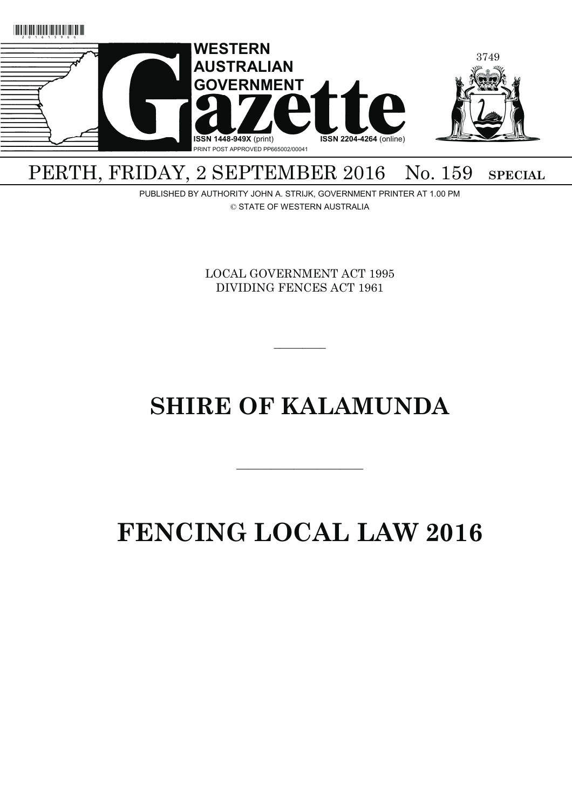

## PERTH, FRIDAY, 2 SEPTEMBER 2016 No. 159 SPECIAL

PUBLISHED BY AUTHORITY JOHN A. STRIJK, GOVERNMENT PRINTER AT 1.00 PM © STATE OF WESTERN AUSTRALIA

> LOCAL GOVERNMENT ACT 1995 DIVIDING FENCES ACT 1961

> > $\overline{\phantom{a}}$   $\overline{\phantom{a}}$

## **SHIRE OF KALAMUNDA**

———————————

# **FENCING LOCAL LAW 2016**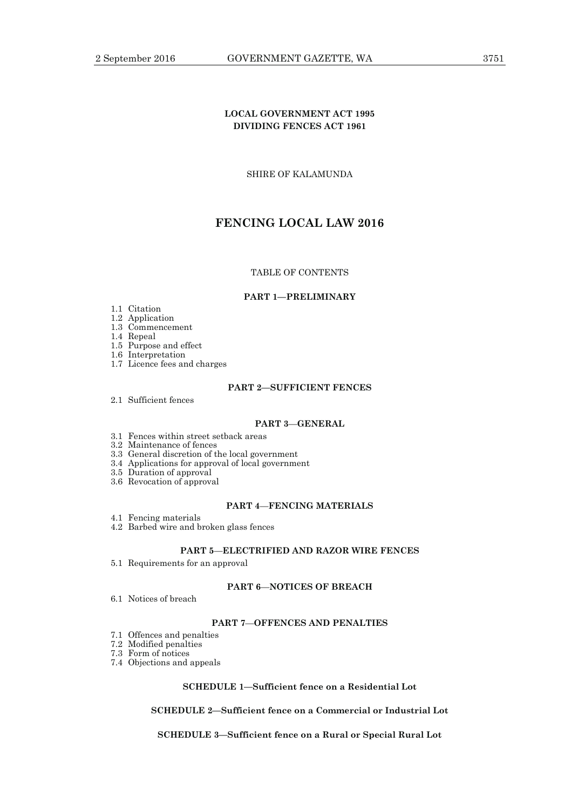## **LOCAL GOVERNMENT ACT 1995 DIVIDING FENCES ACT 1961**

SHIRE OF KALAMUNDA

## **FENCING LOCAL LAW 2016**

## TABLE OF CONTENTS

#### **PART 1—PRELIMINARY**

## 1.1 Citation

- 1.2 Application
- 1.3 Commencement
- 1.4 Repeal
- 1.5 Purpose and effect
- 1.6 Interpretation 1.7 Licence fees and charges
	-

## **PART 2—SUFFICIENT FENCES**

2.1 Sufficient fences

## **PART 3**—**GENERAL**

- 3.1 Fences within street setback areas
- 3.2 Maintenance of fences
- 3.3 General discretion of the local government
- 3.4 Applications for approval of local government
- 3.5 Duration of approval
- 3.6 Revocation of approval

## **PART 4**—**FENCING MATERIALS**

- 4.1 Fencing materials
- 4.2 Barbed wire and broken glass fences

#### **PART 5**—**ELECTRIFIED AND RAZOR WIRE FENCES**

5.1 Requirements for an approval

## **PART 6**—**NOTICES OF BREACH**

6.1 Notices of breach

## **PART 7**—**OFFENCES AND PENALTIES**

- 7.1 Offences and penalties
- 7.2 Modified penalties

7.3 Form of notices

7.4 Objections and appeals

## **SCHEDULE 1—Sufficient fence on a Residential Lot**

## **SCHEDULE 2—Sufficient fence on a Commercial or Industrial Lot**

**SCHEDULE 3—Sufficient fence on a Rural or Special Rural Lot**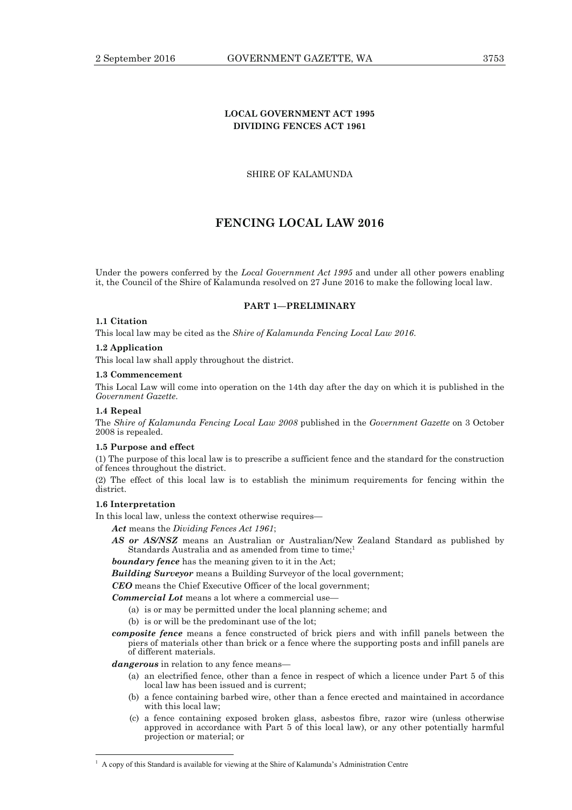## **LOCAL GOVERNMENT ACT 1995 DIVIDING FENCES ACT 1961**

SHIRE OF KALAMUNDA

## **FENCING LOCAL LAW 2016**

Under the powers conferred by the *Local Government Act 1995* and under all other powers enabling it, the Council of the Shire of Kalamunda resolved on 27 June 2016 to make the following local law.

## **PART 1—PRELIMINARY**

## **1.1 Citation**

This local law may be cited as the *Shire of Kalamunda Fencing Local Law 2016*.

#### **1.2 Application**

This local law shall apply throughout the district.

#### **1.3 Commencement**

This Local Law will come into operation on the 14th day after the day on which it is published in the *Government Gazette*.

#### **1.4 Repeal**

The *Shire of Kalamunda Fencing Local Law 2008* published in the *Government Gazette* on 3 October 2008 is repealed.

#### **1.5 Purpose and effect**

(1) The purpose of this local law is to prescribe a sufficient fence and the standard for the construction of fences throughout the district.

(2) The effect of this local law is to establish the minimum requirements for fencing within the district.

## **1.6 Interpretation**

 $\overline{a}$ 

In this local law, unless the context otherwise requires—

*Act* means the *Dividing Fences Act 1961*;

*AS or AS/NSZ* means an Australian or Australian/New Zealand Standard as published by Standards Australia and as amended from time to time;<sup>1</sup>

*boundary fence* has the meaning given to it in the Act;

*Building Surveyor* means a Building Surveyor of the local government;

*CEO* means the Chief Executive Officer of the local government;

*Commercial Lot* means a lot where a commercial use—

- (a) is or may be permitted under the local planning scheme; and
- (b) is or will be the predominant use of the lot;
- *composite fence* means a fence constructed of brick piers and with infill panels between the piers of materials other than brick or a fence where the supporting posts and infill panels are of different materials.

*dangerous* in relation to any fence means—

- (a) an electrified fence, other than a fence in respect of which a licence under Part 5 of this local law has been issued and is current;
- (b) a fence containing barbed wire, other than a fence erected and maintained in accordance with this local law;
- (c) a fence containing exposed broken glass, asbestos fibre, razor wire (unless otherwise approved in accordance with Part 5 of this local law), or any other potentially harmful projection or material; or

<sup>1</sup> A copy of this Standard is available for viewing at the Shire of Kalamunda's Administration Centre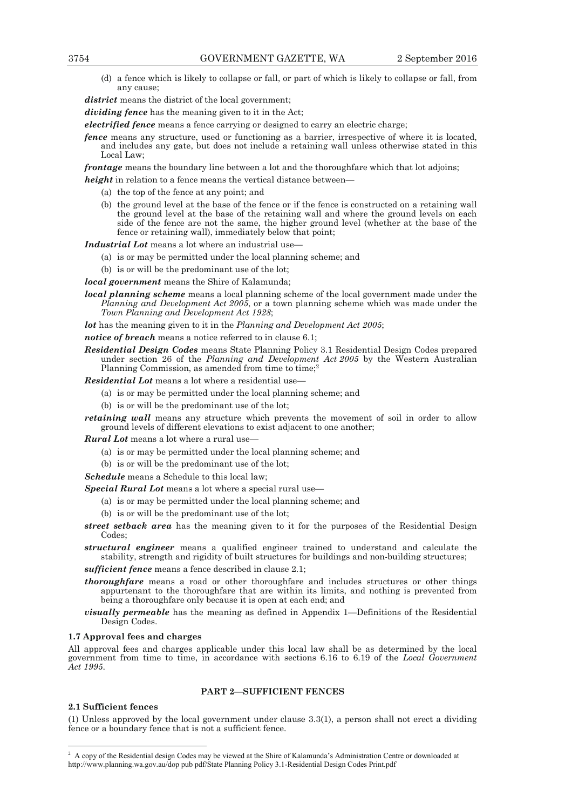(d) a fence which is likely to collapse or fall, or part of which is likely to collapse or fall, from any cause;

*district* means the district of the local government;

*dividing fence* has the meaning given to it in the Act;

*electrified fence* means a fence carrying or designed to carry an electric charge;

*fence* means any structure, used or functioning as a barrier, irrespective of where it is located, and includes any gate, but does not include a retaining wall unless otherwise stated in this Local Law;

*frontage* means the boundary line between a lot and the thoroughfare which that lot adjoins;

- *height* in relation to a fence means the vertical distance between—
	- (a) the top of the fence at any point; and
	- (b) the ground level at the base of the fence or if the fence is constructed on a retaining wall the ground level at the base of the retaining wall and where the ground levels on each side of the fence are not the same, the higher ground level (whether at the base of the fence or retaining wall), immediately below that point;

*Industrial Lot* means a lot where an industrial use-

- (a) is or may be permitted under the local planning scheme; and
- (b) is or will be the predominant use of the lot;
- *local government* means the Shire of Kalamunda;
- *local planning scheme* means a local planning scheme of the local government made under the *Planning and Development Act 2005*, or a town planning scheme which was made under the *Town Planning and Development Act 1928*;

*lot* has the meaning given to it in the *Planning and Development Act 2005*;

- *notice of breach* means a notice referred to in clause 6.1;
- *Residential Design Codes* means State Planning Policy 3.1 Residential Design Codes prepared under section 26 of the *Planning and Development Act 2005* by the Western Australian Planning Commission, as amended from time to time;<sup>2</sup>

*Residential Lot* means a lot where a residential use—

- (a) is or may be permitted under the local planning scheme; and
- (b) is or will be the predominant use of the lot;
- *retaining wall* means any structure which prevents the movement of soil in order to allow ground levels of different elevations to exist adjacent to one another;

*Rural Lot* means a lot where a rural use—

- (a) is or may be permitted under the local planning scheme; and
- (b) is or will be the predominant use of the lot;

*Schedule* means a Schedule to this local law;

*Special Rural Lot* means a lot where a special rural use—

- (a) is or may be permitted under the local planning scheme; and
- (b) is or will be the predominant use of the lot;
- *street setback area* has the meaning given to it for the purposes of the Residential Design Codes:
- *structural engineer* means a qualified engineer trained to understand and calculate the stability, strength and rigidity of built structures for buildings and non-building structures;

*sufficient fence* means a fence described in clause 2.1;

- *thoroughfare* means a road or other thoroughfare and includes structures or other things appurtenant to the thoroughfare that are within its limits, and nothing is prevented from being a thoroughfare only because it is open at each end; and
- *visually permeable* has the meaning as defined in Appendix 1—Definitions of the Residential Design Codes.

#### **1.7 Approval fees and charges**

All approval fees and charges applicable under this local law shall be as determined by the local government from time to time, in accordance with sections 6.16 to 6.19 of the *Local Government Act 1995*.

## **PART 2—SUFFICIENT FENCES**

#### **2.1 Sufficient fences**

 $\overline{a}$ 

(1) Unless approved by the local government under clause 3.3(1), a person shall not erect a dividing fence or a boundary fence that is not a sufficient fence.

<sup>&</sup>lt;sup>2</sup> A copy of the Residential design Codes may be viewed at the Shire of Kalamunda's Administration Centre or downloaded at http://www.planning.wa.gov.au/dop pub pdf/State Planning Policy 3.1-Residential Design Codes Print.pdf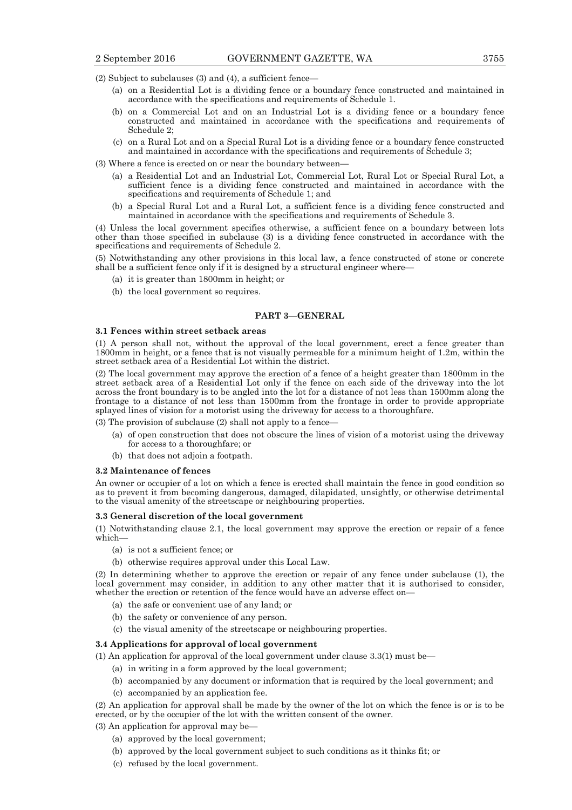(2) Subject to subclauses (3) and (4), a sufficient fence—

- (a) on a Residential Lot is a dividing fence or a boundary fence constructed and maintained in accordance with the specifications and requirements of Schedule 1.
- (b) on a Commercial Lot and on an Industrial Lot is a dividing fence or a boundary fence constructed and maintained in accordance with the specifications and requirements of Schedule 2;
- (c) on a Rural Lot and on a Special Rural Lot is a dividing fence or a boundary fence constructed and maintained in accordance with the specifications and requirements of Schedule 3;
- (3) Where a fence is erected on or near the boundary between—
	- (a) a Residential Lot and an Industrial Lot, Commercial Lot, Rural Lot or Special Rural Lot, a sufficient fence is a dividing fence constructed and maintained in accordance with the specifications and requirements of Schedule 1; and
	- (b) a Special Rural Lot and a Rural Lot, a sufficient fence is a dividing fence constructed and maintained in accordance with the specifications and requirements of Schedule 3.

(4) Unless the local government specifies otherwise, a sufficient fence on a boundary between lots other than those specified in subclause (3) is a dividing fence constructed in accordance with the specifications and requirements of Schedule 2.

(5) Notwithstanding any other provisions in this local law, a fence constructed of stone or concrete shall be a sufficient fence only if it is designed by a structural engineer where—

- (a) it is greater than 1800mm in height; or
- (b) the local government so requires.

#### **PART 3—GENERAL**

#### **3.1 Fences within street setback areas**

(1) A person shall not, without the approval of the local government, erect a fence greater than 1800mm in height, or a fence that is not visually permeable for a minimum height of 1.2m, within the street setback area of a Residential Lot within the district.

(2) The local government may approve the erection of a fence of a height greater than 1800mm in the street setback area of a Residential Lot only if the fence on each side of the driveway into the lot across the front boundary is to be angled into the lot for a distance of not less than 1500mm along the frontage to a distance of not less than 1500mm from the frontage in order to provide appropriate splayed lines of vision for a motorist using the driveway for access to a thoroughfare.

(3) The provision of subclause (2) shall not apply to a fence—

- (a) of open construction that does not obscure the lines of vision of a motorist using the driveway for access to a thoroughfare; or
- (b) that does not adjoin a footpath.

#### **3.2 Maintenance of fences**

An owner or occupier of a lot on which a fence is erected shall maintain the fence in good condition so as to prevent it from becoming dangerous, damaged, dilapidated, unsightly, or otherwise detrimental to the visual amenity of the streetscape or neighbouring properties.

#### **3.3 General discretion of the local government**

(1) Notwithstanding clause 2.1, the local government may approve the erection or repair of a fence which—

- (a) is not a sufficient fence; or
- (b) otherwise requires approval under this Local Law.

(2) In determining whether to approve the erection or repair of any fence under subclause (1), the local government may consider, in addition to any other matter that it is authorised to consider, whether the erection or retention of the fence would have an adverse effect on—

- (a) the safe or convenient use of any land; or
- (b) the safety or convenience of any person.
- (c) the visual amenity of the streetscape or neighbouring properties.

#### **3.4 Applications for approval of local government**

- (1) An application for approval of the local government under clause 3.3(1) must be—
	- (a) in writing in a form approved by the local government;
		- (b) accompanied by any document or information that is required by the local government; and
		- (c) accompanied by an application fee.

(2) An application for approval shall be made by the owner of the lot on which the fence is or is to be erected, or by the occupier of the lot with the written consent of the owner.

(3) An application for approval may be—

- (a) approved by the local government;
- (b) approved by the local government subject to such conditions as it thinks fit; or
- (c) refused by the local government.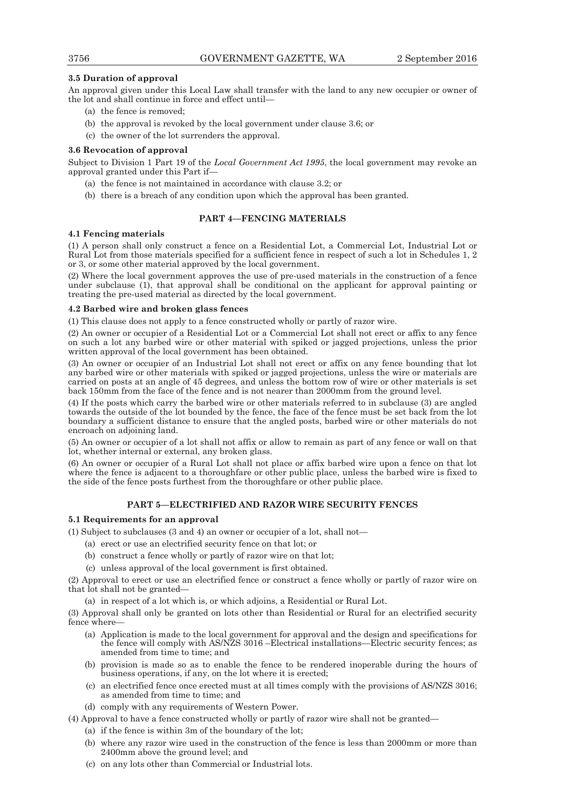## **3.5 Duration of approval**

An approval given under this Local Law shall transfer with the land to any new occupier or owner of the lot and shall continue in force and effect until—

- (a) the fence is removed;
- (b) the approval is revoked by the local government under clause 3.6; or
- (c) the owner of the lot surrenders the approval.

## **3.6 Revocation of approval**

Subject to Division 1 Part 19 of the *Local Government Act 1995*, the local government may revoke an approval granted under this Part if—

- (a) the fence is not maintained in accordance with clause 3.2; or
- (b) there is a breach of any condition upon which the approval has been granted.

## **PART 4—FENCING MATERIALS**

## **4.1 Fencing materials**

(1) A person shall only construct a fence on a Residential Lot, a Commercial Lot, Industrial Lot or Rural Lot from those materials specified for a sufficient fence in respect of such a lot in Schedules 1, 2 or 3, or some other material approved by the local government.

(2) Where the local government approves the use of pre-used materials in the construction of a fence under subclause (1), that approval shall be conditional on the applicant for approval painting or treating the pre-used material as directed by the local government.

## **4.2 Barbed wire and broken glass fences**

(1) This clause does not apply to a fence constructed wholly or partly of razor wire.

(2) An owner or occupier of a Residential Lot or a Commercial Lot shall not erect or affix to any fence on such a lot any barbed wire or other material with spiked or jagged projections, unless the prior written approval of the local government has been obtained.

(3) An owner or occupier of an Industrial Lot shall not erect or affix on any fence bounding that lot any barbed wire or other materials with spiked or jagged projections, unless the wire or materials are carried on posts at an angle of 45 degrees, and unless the bottom row of wire or other materials is set back 150mm from the face of the fence and is not nearer than 2000mm from the ground level.

(4) If the posts which carry the barbed wire or other materials referred to in subclause (3) are angled towards the outside of the lot bounded by the fence, the face of the fence must be set back from the lot boundary a sufficient distance to ensure that the angled posts, barbed wire or other materials do not encroach on adjoining land.

(5) An owner or occupier of a lot shall not affix or allow to remain as part of any fence or wall on that lot, whether internal or external, any broken glass.

(6) An owner or occupier of a Rural Lot shall not place or affix barbed wire upon a fence on that lot where the fence is adjacent to a thoroughfare or other public place, unless the barbed wire is fixed to the side of the fence posts furthest from the thoroughfare or other public place.

## **PART 5—ELECTRIFIED AND RAZOR WIRE SECURITY FENCES**

## **5.1 Requirements for an approval**

(1) Subject to subclauses (3 and 4) an owner or occupier of a lot, shall not—

- (a) erect or use an electrified security fence on that lot; or
- (b) construct a fence wholly or partly of razor wire on that lot;
- (c) unless approval of the local government is first obtained.

(2) Approval to erect or use an electrified fence or construct a fence wholly or partly of razor wire on that lot shall not be granted—

(a) in respect of a lot which is, or which adjoins, a Residential or Rural Lot.

(3) Approval shall only be granted on lots other than Residential or Rural for an electrified security fence where—

- (a) Application is made to the local government for approval and the design and specifications for the fence will comply with AS/NZS 3016 –Electrical installations—Electric security fences; as amended from time to time; and
- (b) provision is made so as to enable the fence to be rendered inoperable during the hours of business operations, if any, on the lot where it is erected;
- (c) an electrified fence once erected must at all times comply with the provisions of AS/NZS 3016; as amended from time to time; and

(d) comply with any requirements of Western Power.

- (4) Approval to have a fence constructed wholly or partly of razor wire shall not be granted—
	- (a) if the fence is within 3m of the boundary of the lot;
	- (b) where any razor wire used in the construction of the fence is less than 2000mm or more than 2400mm above the ground level; and
	- (c) on any lots other than Commercial or Industrial lots.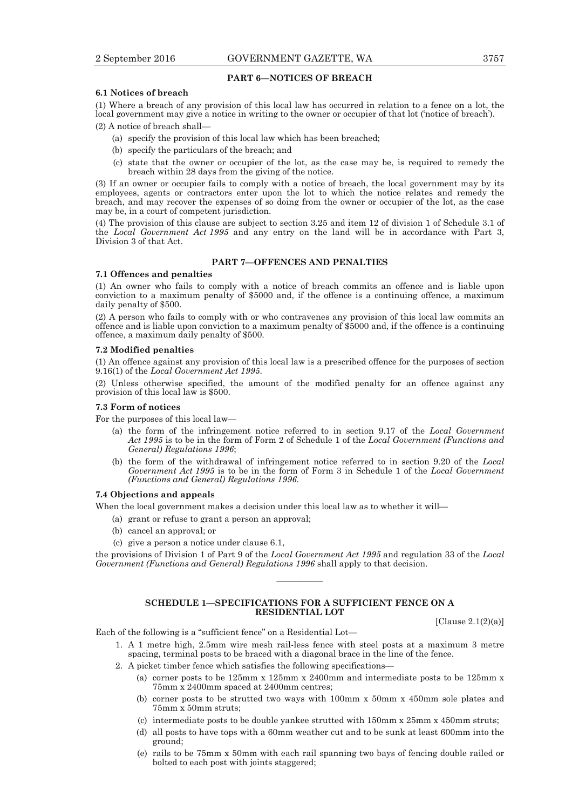#### **PART 6—NOTICES OF BREACH**

#### **6.1 Notices of breach**

(1) Where a breach of any provision of this local law has occurred in relation to a fence on a lot, the local government may give a notice in writing to the owner or occupier of that lot ('notice of breach').

(2) A notice of breach shall—

- (a) specify the provision of this local law which has been breached;
- (b) specify the particulars of the breach; and
- (c) state that the owner or occupier of the lot, as the case may be, is required to remedy the breach within 28 days from the giving of the notice.

(3) If an owner or occupier fails to comply with a notice of breach, the local government may by its employees, agents or contractors enter upon the lot to which the notice relates and remedy the breach, and may recover the expenses of so doing from the owner or occupier of the lot, as the case may be, in a court of competent jurisdiction.

(4) The provision of this clause are subject to section 3.25 and item 12 of division 1 of Schedule 3.1 of the *Local Government Act 1995* and any entry on the land will be in accordance with Part 3, Division 3 of that Act.

## **PART 7—OFFENCES AND PENALTIES**

#### **7.1 Offences and penalties**

(1) An owner who fails to comply with a notice of breach commits an offence and is liable upon conviction to a maximum penalty of \$5000 and, if the offence is a continuing offence, a maximum daily penalty of \$500.

(2) A person who fails to comply with or who contravenes any provision of this local law commits an offence and is liable upon conviction to a maximum penalty of \$5000 and, if the offence is a continuing offence, a maximum daily penalty of \$500.

#### **7.2 Modified penalties**

(1) An offence against any provision of this local law is a prescribed offence for the purposes of section 9.16(1) of the *Local Government Act 1995*.

(2) Unless otherwise specified, the amount of the modified penalty for an offence against any provision of this local law is \$500.

#### **7.3 Form of notices**

For the purposes of this local law—

- (a) the form of the infringement notice referred to in section 9.17 of the *Local Government Act 1995* is to be in the form of Form 2 of Schedule 1 of the *Local Government (Functions and General) Regulations 1996*;
- (b) the form of the withdrawal of infringement notice referred to in section 9.20 of the *Local Government Act 1995* is to be in the form of Form 3 in Schedule 1 of the *Local Government (Functions and General) Regulations 1996*.

#### **7.4 Objections and appeals**

When the local government makes a decision under this local law as to whether it will—

(a) grant or refuse to grant a person an approval;

- (b) cancel an approval; or
- (c) give a person a notice under clause 6.1,

the provisions of Division 1 of Part 9 of the *Local Government Act 1995* and regulation 33 of the *Local Government (Functions and General) Regulations 1996* shall apply to that decision.

————

#### **SCHEDULE 1—SPECIFICATIONS FOR A SUFFICIENT FENCE ON A RESIDENTIAL LOT**

[Clause 2.1(2)(a)]

Each of the following is a "sufficient fence" on a Residential Lot—

- 1. A 1 metre high, 2.5mm wire mesh rail-less fence with steel posts at a maximum 3 metre spacing, terminal posts to be braced with a diagonal brace in the line of the fence.
- 2. A picket timber fence which satisfies the following specifications—
	- (a) corner posts to be 125mm x 125mm x 2400mm and intermediate posts to be 125mm x 75mm x 2400mm spaced at 2400mm centres;
	- (b) corner posts to be strutted two ways with 100mm x 50mm x 450mm sole plates and 75mm x 50mm struts;
	- (c) intermediate posts to be double yankee strutted with 150mm x 25mm x 450mm struts;
	- (d) all posts to have tops with a 60mm weather cut and to be sunk at least 600mm into the ground;
	- (e) rails to be 75mm x 50mm with each rail spanning two bays of fencing double railed or bolted to each post with joints staggered;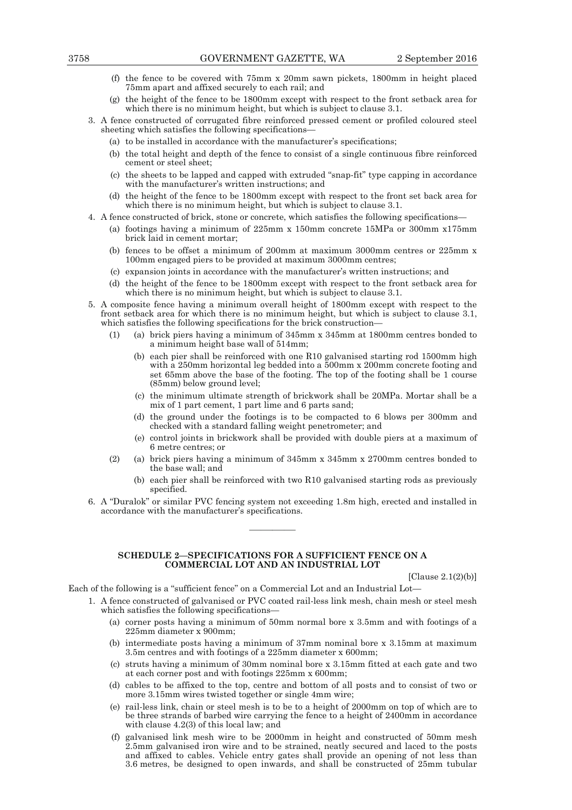- (f) the fence to be covered with 75mm x 20mm sawn pickets, 1800mm in height placed 75mm apart and affixed securely to each rail; and
- (g) the height of the fence to be 1800mm except with respect to the front setback area for which there is no minimum height, but which is subject to clause 3.1.
- 3. A fence constructed of corrugated fibre reinforced pressed cement or profiled coloured steel sheeting which satisfies the following specifications—
	- (a) to be installed in accordance with the manufacturer's specifications;
	- (b) the total height and depth of the fence to consist of a single continuous fibre reinforced cement or steel sheet;
	- (c) the sheets to be lapped and capped with extruded "snap-fit" type capping in accordance with the manufacturer's written instructions; and
	- (d) the height of the fence to be 1800mm except with respect to the front set back area for which there is no minimum height, but which is subject to clause 3.1.
- 4. A fence constructed of brick, stone or concrete, which satisfies the following specifications—
	- (a) footings having a minimum of 225mm x 150mm concrete 15MPa or 300mm x175mm brick laid in cement mortar;
	- (b) fences to be offset a minimum of 200mm at maximum 3000mm centres or 225mm x 100mm engaged piers to be provided at maximum 3000mm centres;
	- (c) expansion joints in accordance with the manufacturer's written instructions; and
	- (d) the height of the fence to be 1800mm except with respect to the front setback area for which there is no minimum height, but which is subject to clause 3.1.
- 5. A composite fence having a minimum overall height of 1800mm except with respect to the front setback area for which there is no minimum height, but which is subject to clause 3.1, which satisfies the following specifications for the brick construction—
	- (1) (a) brick piers having a minimum of 345mm x 345mm at 1800mm centres bonded to a minimum height base wall of 514mm;
		- (b) each pier shall be reinforced with one R10 galvanised starting rod 1500mm high with a 250mm horizontal leg bedded into a 500mm x 200mm concrete footing and set 65mm above the base of the footing. The top of the footing shall be 1 course (85mm) below ground level;
		- (c) the minimum ultimate strength of brickwork shall be 20MPa. Mortar shall be a mix of 1 part cement, 1 part lime and 6 parts sand;
		- (d) the ground under the footings is to be compacted to 6 blows per 300mm and checked with a standard falling weight penetrometer; and
		- (e) control joints in brickwork shall be provided with double piers at a maximum of 6 metre centres; or
	- (2) (a) brick piers having a minimum of 345mm x 345mm x 2700mm centres bonded to the base wall; and
		- (b) each pier shall be reinforced with two R10 galvanised starting rods as previously specified.
- 6. A "Duralok" or similar PVC fencing system not exceeding 1.8m high, erected and installed in accordance with the manufacturer's specifications.

#### **SCHEDULE 2—SPECIFICATIONS FOR A SUFFICIENT FENCE ON A COMMERCIAL LOT AND AN INDUSTRIAL LOT**

————

[Clause 2.1(2)(b)]

Each of the following is a "sufficient fence" on a Commercial Lot and an Industrial Lot—

- 1. A fence constructed of galvanised or PVC coated rail-less link mesh, chain mesh or steel mesh which satisfies the following specifications—
	- (a) corner posts having a minimum of 50mm normal bore x 3.5mm and with footings of a 225mm diameter x 900mm;
	- (b) intermediate posts having a minimum of 37mm nominal bore x 3.15mm at maximum 3.5m centres and with footings of a 225mm diameter x 600mm;
	- (c) struts having a minimum of 30mm nominal bore x 3.15mm fitted at each gate and two at each corner post and with footings 225mm x 600mm;
	- (d) cables to be affixed to the top, centre and bottom of all posts and to consist of two or more 3.15mm wires twisted together or single 4mm wire;
	- (e) rail-less link, chain or steel mesh is to be to a height of 2000mm on top of which are to be three strands of barbed wire carrying the fence to a height of 2400mm in accordance with clause 4.2(3) of this local law; and
	- (f) galvanised link mesh wire to be 2000mm in height and constructed of 50mm mesh 2.5mm galvanised iron wire and to be strained, neatly secured and laced to the posts and affixed to cables. Vehicle entry gates shall provide an opening of not less than 3.6 metres, be designed to open inwards, and shall be constructed of 25mm tubular